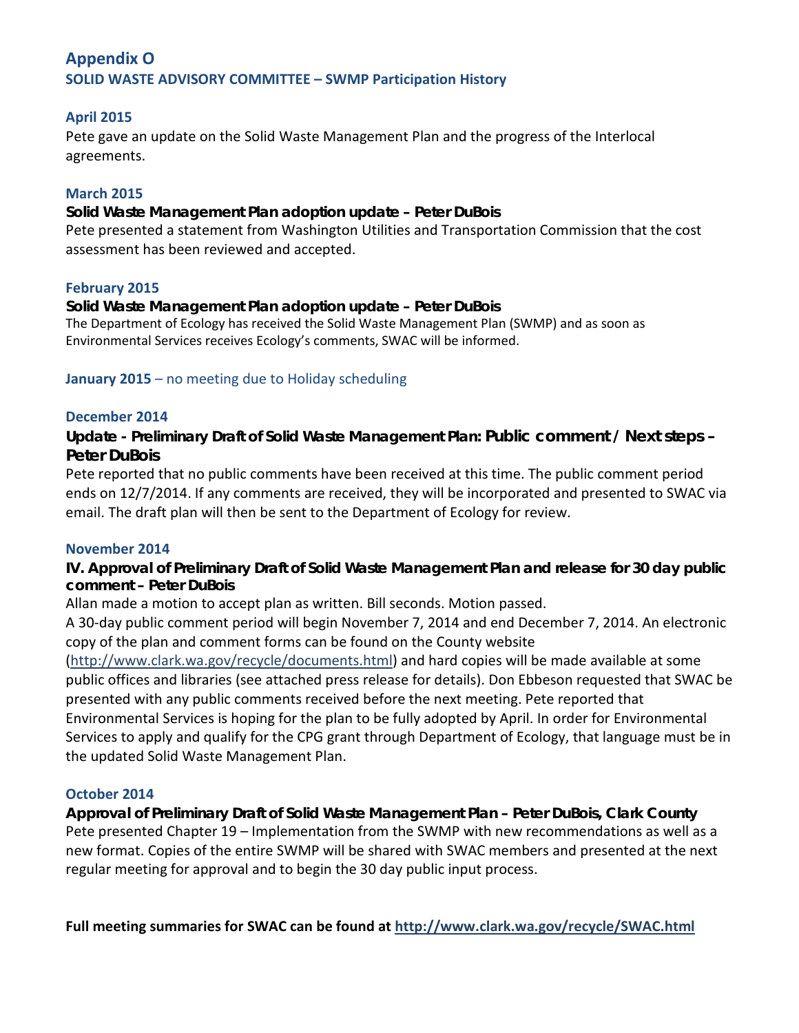# **Appendix O SOLID WASTE ADVISORY COMMITTEE – SWMP Participation History**

### **April 2015**

Pete gave an update on the Solid Waste Management Plan and the progress of the Interlocal agreements.

### **March 2015**

#### **Solid Waste Management Plan adoption update – Peter DuBois**

Pete presented a statement from Washington Utilities and Transportation Commission that the cost assessment has been reviewed and accepted.

#### **February 2015**

#### **Solid Waste Management Plan adoption update – Peter DuBois**

The Department of Ecology has received the Solid Waste Management Plan (SWMP) and as soon as Environmental Services receives Ecology's comments, SWAC will be informed.

#### **January 2015** – no meeting due to Holiday scheduling

#### **December 2014**

**Update - Preliminary Draft of Solid Waste Management Plan: Public comment / Next steps – Peter DuBois** 

Pete reported that no public comments have been received at this time. The public comment period ends on 12/7/2014. If any comments are received, they will be incorporated and presented to SWAC via email. The draft plan will then be sent to the Department of Ecology for review.

#### **November 2014**

**IV. Approval of Preliminary Draft of Solid Waste Management Plan and release for 30 day public comment – Peter DuBois** 

Allan made a motion to accept plan as written. Bill seconds. Motion passed.

A 30-day public comment period will begin November 7, 2014 and end December 7, 2014. An electronic copy of the plan and comment forms can be found on the County website

[\(http://www.clark.wa.gov/recycle/documents.html\)](http://www.clark.wa.gov/recycle/documents.html) and hard copies will be made available at some public offices and libraries (see attached press release for details). Don Ebbeson requested that SWAC be presented with any public comments received before the next meeting. Pete reported that Environmental Services is hoping for the plan to be fully adopted by April. In order for Environmental Services to apply and qualify for the CPG grant through Department of Ecology, that language must be in the updated Solid Waste Management Plan.

### **October 2014**

**Approval of Preliminary Draft of Solid Waste Management Plan – Peter DuBois, Clark County**  Pete presented Chapter 19 – Implementation from the SWMP with new recommendations as well as a new format. Copies of the entire SWMP will be shared with SWAC members and presented at the next regular meeting for approval and to begin the 30 day public input process.

**Full meeting summaries for SWAC can be found at<http://www.clark.wa.gov/recycle/SWAC.html>**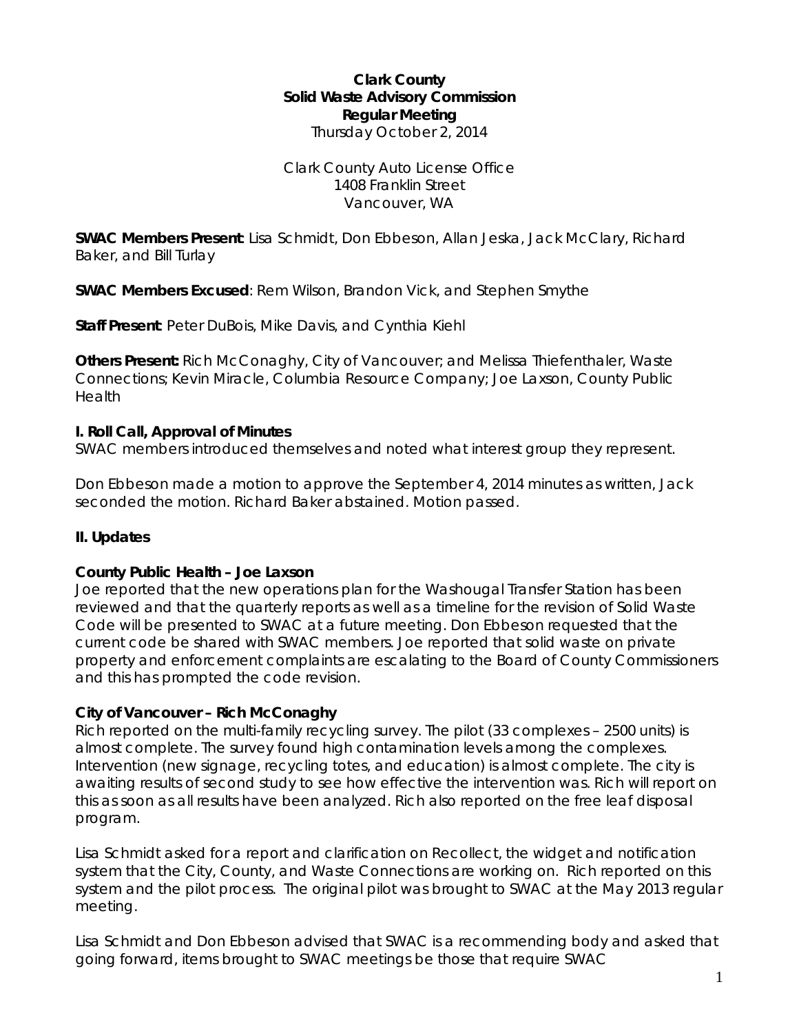### **Clark County Solid Waste Advisory Commission Regular Meeting** Thursday October 2, 2014

### Clark County Auto License Office 1408 Franklin Street Vancouver, WA

**SWAC Members Present**: Lisa Schmidt, Don Ebbeson, Allan Jeska, Jack McClary, Richard Baker, and Bill Turlay

**SWAC Members Excused**: Rem Wilson, Brandon Vick, and Stephen Smythe

**Staff Present**: Peter DuBois, Mike Davis, and Cynthia Kiehl

**Others Present:** Rich McConaghy, City of Vancouver; and Melissa Thiefenthaler, Waste Connections; Kevin Miracle, Columbia Resource Company; Joe Laxson, County Public Health

### **I. Roll Call, Approval of Minutes**

SWAC members introduced themselves and noted what interest group they represent.

Don Ebbeson made a motion to approve the September 4, 2014 minutes as written, Jack seconded the motion. Richard Baker abstained. Motion passed.

# **II. Updates**

### **County Public Health – Joe Laxson**

Joe reported that the new operations plan for the Washougal Transfer Station has been reviewed and that the quarterly reports as well as a timeline for the revision of Solid Waste Code will be presented to SWAC at a future meeting. Don Ebbeson requested that the current code be shared with SWAC members. Joe reported that solid waste on private property and enforcement complaints are escalating to the Board of County Commissioners and this has prompted the code revision.

# **City of Vancouver – Rich McConaghy**

Rich reported on the multi-family recycling survey. The pilot (33 complexes – 2500 units) is almost complete. The survey found high contamination levels among the complexes. Intervention (new signage, recycling totes, and education) is almost complete. The city is awaiting results of second study to see how effective the intervention was. Rich will report on this as soon as all results have been analyzed. Rich also reported on the free leaf disposal program.

Lisa Schmidt asked for a report and clarification on Recollect, the widget and notification system that the City, County, and Waste Connections are working on. Rich reported on this system and the pilot process. The original pilot was brought to SWAC at the May 2013 regular meeting.

Lisa Schmidt and Don Ebbeson advised that SWAC is a recommending body and asked that going forward, items brought to SWAC meetings be those that require SWAC